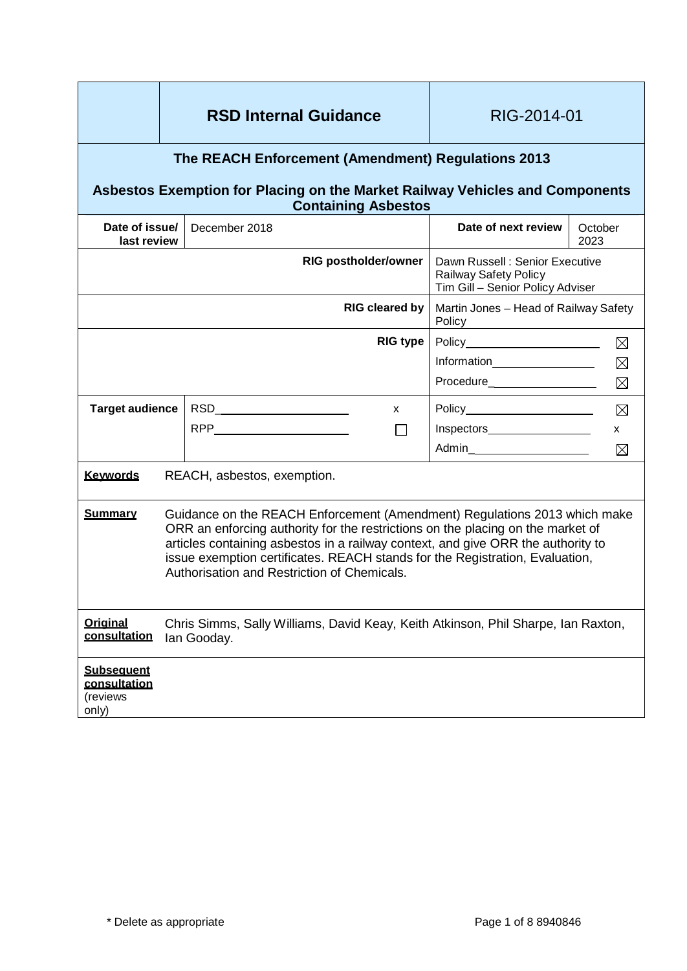|                                                                                                                                                                  |                                                                                                                                                                                                                                                                                                                                                                                 | <b>RSD Internal Guidance</b>        | RIG-2014-01                                                                                 |                 |
|------------------------------------------------------------------------------------------------------------------------------------------------------------------|---------------------------------------------------------------------------------------------------------------------------------------------------------------------------------------------------------------------------------------------------------------------------------------------------------------------------------------------------------------------------------|-------------------------------------|---------------------------------------------------------------------------------------------|-----------------|
| The REACH Enforcement (Amendment) Regulations 2013<br>Asbestos Exemption for Placing on the Market Railway Vehicles and Components<br><b>Containing Asbestos</b> |                                                                                                                                                                                                                                                                                                                                                                                 |                                     |                                                                                             |                 |
| Date of issue/<br>last review                                                                                                                                    |                                                                                                                                                                                                                                                                                                                                                                                 | December 2018                       | Date of next review                                                                         | October<br>2023 |
| <b>RIG postholder/owner</b>                                                                                                                                      |                                                                                                                                                                                                                                                                                                                                                                                 |                                     | Dawn Russell: Senior Executive<br>Railway Safety Policy<br>Tim Gill - Senior Policy Adviser |                 |
| <b>RIG cleared by</b>                                                                                                                                            |                                                                                                                                                                                                                                                                                                                                                                                 |                                     | Martin Jones - Head of Railway Safety<br>Policy                                             |                 |
| <b>RIG type</b>                                                                                                                                                  |                                                                                                                                                                                                                                                                                                                                                                                 |                                     | ⊠                                                                                           |                 |
|                                                                                                                                                                  |                                                                                                                                                                                                                                                                                                                                                                                 |                                     |                                                                                             | $\boxtimes$     |
|                                                                                                                                                                  |                                                                                                                                                                                                                                                                                                                                                                                 |                                     | Procedure____________________                                                               | $\boxtimes$     |
| <b>Target audience</b>                                                                                                                                           |                                                                                                                                                                                                                                                                                                                                                                                 | RSD__________________________<br>X. | Policy________________________                                                              | $\boxtimes$     |
|                                                                                                                                                                  |                                                                                                                                                                                                                                                                                                                                                                                 | $\Box$                              | Inspectors <b>Manufacturer</b>                                                              | X.              |
|                                                                                                                                                                  |                                                                                                                                                                                                                                                                                                                                                                                 |                                     |                                                                                             | ⊠               |
| <b>Kevwords</b><br>REACH, asbestos, exemption.                                                                                                                   |                                                                                                                                                                                                                                                                                                                                                                                 |                                     |                                                                                             |                 |
| <b>Summary</b>                                                                                                                                                   | Guidance on the REACH Enforcement (Amendment) Regulations 2013 which make<br>ORR an enforcing authority for the restrictions on the placing on the market of<br>articles containing asbestos in a railway context, and give ORR the authority to<br>issue exemption certificates. REACH stands for the Registration, Evaluation,<br>Authorisation and Restriction of Chemicals. |                                     |                                                                                             |                 |
| <b>Original</b><br>consultation                                                                                                                                  | Chris Simms, Sally Williams, David Keay, Keith Atkinson, Phil Sharpe, Ian Raxton,<br>lan Gooday.                                                                                                                                                                                                                                                                                |                                     |                                                                                             |                 |
| <b>Subsequent</b><br>consultation<br>(reviews<br>only)                                                                                                           |                                                                                                                                                                                                                                                                                                                                                                                 |                                     |                                                                                             |                 |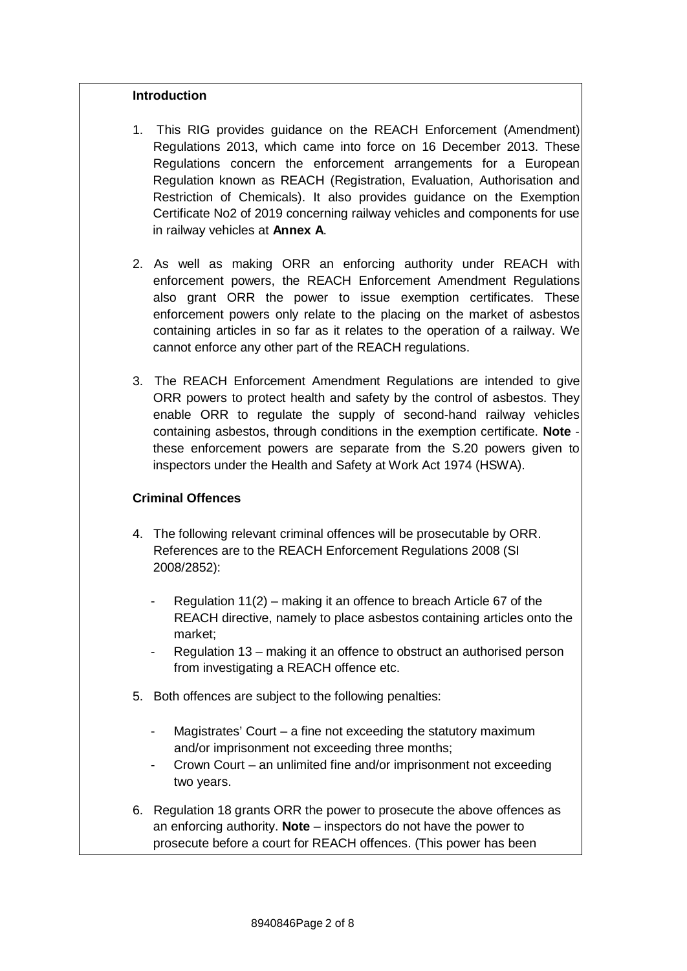#### **Introduction**

- 1. This RIG provides guidance on the REACH Enforcement (Amendment) Regulations 2013, which came into force on 16 December 2013. These Regulations concern the enforcement arrangements for a European Regulation known as REACH (Registration, Evaluation, Authorisation and Restriction of Chemicals). It also provides guidance on the Exemption Certificate No2 of 2019 concerning railway vehicles and components for use in railway vehicles at **Annex A**.
- 2. As well as making ORR an enforcing authority under REACH with enforcement powers, the REACH Enforcement Amendment Regulations also grant ORR the power to issue exemption certificates. These enforcement powers only relate to the placing on the market of asbestos containing articles in so far as it relates to the operation of a railway. We cannot enforce any other part of the REACH regulations.
- 3. The REACH Enforcement Amendment Regulations are intended to give ORR powers to protect health and safety by the control of asbestos. They enable ORR to regulate the supply of second-hand railway vehicles containing asbestos, through conditions in the exemption certificate. **Note** these enforcement powers are separate from the S.20 powers given to inspectors under the Health and Safety at Work Act 1974 (HSWA).

#### **Criminal Offences**

- 4. The following relevant criminal offences will be prosecutable by ORR. References are to the REACH Enforcement Regulations 2008 (SI 2008/2852):
	- Regulation  $11(2)$  making it an offence to breach Article 67 of the REACH directive, namely to place asbestos containing articles onto the market;
	- Regulation 13 making it an offence to obstruct an authorised person from investigating a REACH offence etc.
- 5. Both offences are subject to the following penalties:
	- Magistrates' Court  $-$  a fine not exceeding the statutory maximum and/or imprisonment not exceeding three months;
	- Crown Court an unlimited fine and/or imprisonment not exceeding two years.
- 6. Regulation 18 grants ORR the power to prosecute the above offences as an enforcing authority. **Note** – inspectors do not have the power to prosecute before a court for REACH offences. (This power has been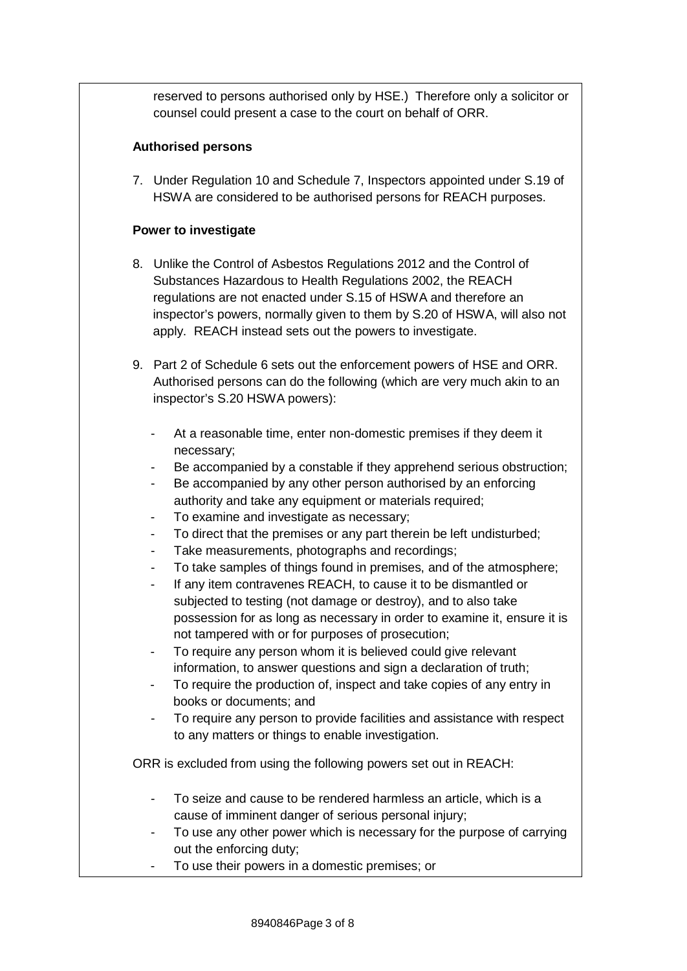reserved to persons authorised only by HSE.) Therefore only a solicitor or counsel could present a case to the court on behalf of ORR.

#### **Authorised persons**

7. Under Regulation 10 and Schedule 7, Inspectors appointed under S.19 of HSWA are considered to be authorised persons for REACH purposes.

#### **Power to investigate**

- 8. Unlike the Control of Asbestos Regulations 2012 and the Control of Substances Hazardous to Health Regulations 2002, the REACH regulations are not enacted under S.15 of HSWA and therefore an inspector's powers, normally given to them by S.20 of HSWA, will also not apply. REACH instead sets out the powers to investigate.
- 9. Part 2 of Schedule 6 sets out the enforcement powers of HSE and ORR. Authorised persons can do the following (which are very much akin to an inspector's S.20 HSWA powers):
	- At a reasonable time, enter non-domestic premises if they deem it necessary;
	- Be accompanied by a constable if they apprehend serious obstruction;
	- Be accompanied by any other person authorised by an enforcing authority and take any equipment or materials required;
	- To examine and investigate as necessary;
	- To direct that the premises or any part therein be left undisturbed;
	- Take measurements, photographs and recordings;
	- To take samples of things found in premises, and of the atmosphere;
	- If any item contravenes REACH, to cause it to be dismantled or subjected to testing (not damage or destroy), and to also take possession for as long as necessary in order to examine it, ensure it is not tampered with or for purposes of prosecution;
	- To require any person whom it is believed could give relevant information, to answer questions and sign a declaration of truth;
	- To require the production of, inspect and take copies of any entry in books or documents; and
	- To require any person to provide facilities and assistance with respect to any matters or things to enable investigation.

ORR is excluded from using the following powers set out in REACH:

- To seize and cause to be rendered harmless an article, which is a cause of imminent danger of serious personal injury;
- To use any other power which is necessary for the purpose of carrying out the enforcing duty;
- To use their powers in a domestic premises; or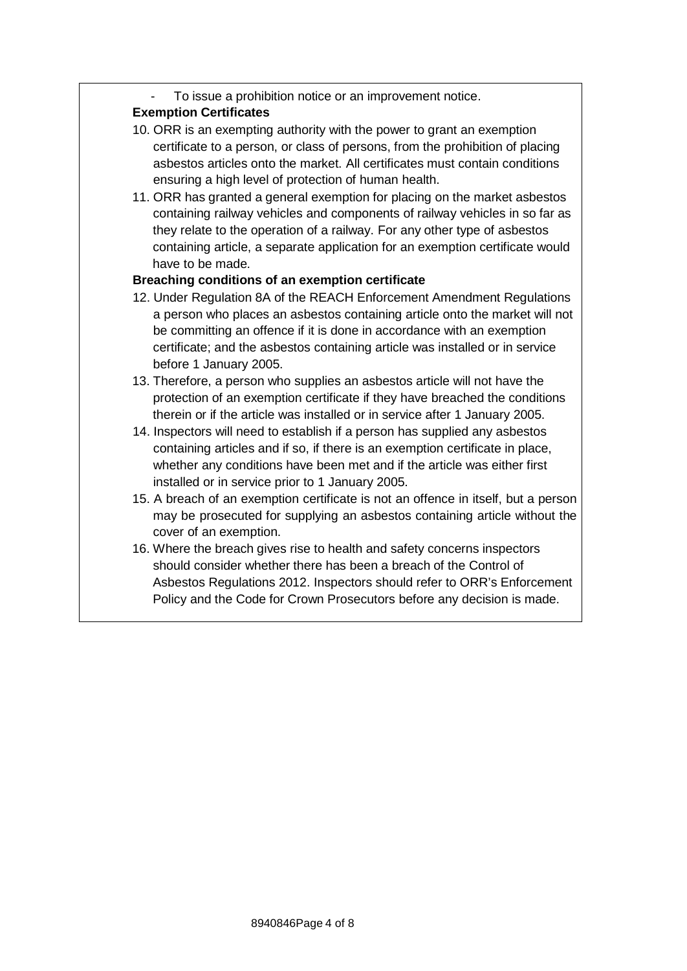To issue a prohibition notice or an improvement notice.

## **Exemption Certificates**

- 10. ORR is an exempting authority with the power to grant an exemption certificate to a person, or class of persons, from the prohibition of placing asbestos articles onto the market. All certificates must contain conditions ensuring a high level of protection of human health.
- 11. ORR has granted a general exemption for placing on the market asbestos containing railway vehicles and components of railway vehicles in so far as they relate to the operation of a railway. For any other type of asbestos containing article, a separate application for an exemption certificate would have to be made.

## **Breaching conditions of an exemption certificate**

- 12. Under Regulation 8A of the REACH Enforcement Amendment Regulations a person who places an asbestos containing article onto the market will not be committing an offence if it is done in accordance with an exemption certificate; and the asbestos containing article was installed or in service before 1 January 2005.
- 13. Therefore, a person who supplies an asbestos article will not have the protection of an exemption certificate if they have breached the conditions therein or if the article was installed or in service after 1 January 2005.
- 14. Inspectors will need to establish if a person has supplied any asbestos containing articles and if so, if there is an exemption certificate in place, whether any conditions have been met and if the article was either first installed or in service prior to 1 January 2005.
- 15. A breach of an exemption certificate is not an offence in itself, but a person may be prosecuted for supplying an asbestos containing article without the cover of an exemption.
- 16. Where the breach gives rise to health and safety concerns inspectors should consider whether there has been a breach of the Control of Asbestos Regulations 2012. Inspectors should refer to ORR's Enforcement Policy and the Code for Crown Prosecutors before any decision is made.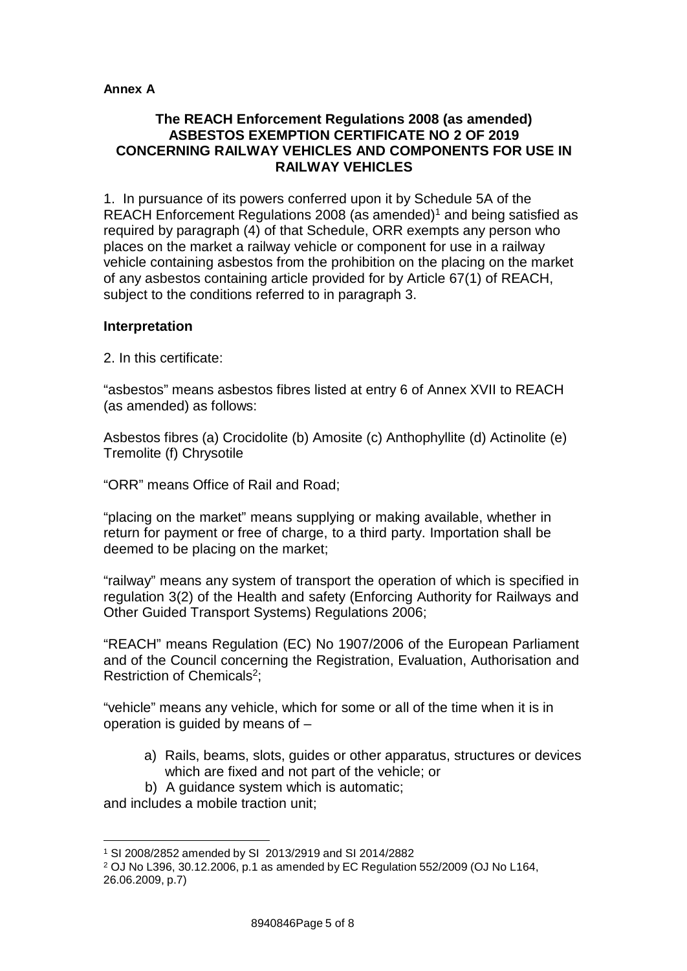#### **Annex A**

#### **The REACH Enforcement Regulations 2008 (as amended) ASBESTOS EXEMPTION CERTIFICATE NO 2 OF 2019 CONCERNING RAILWAY VEHICLES AND COMPONENTS FOR USE IN RAILWAY VEHICLES**

1. In pursuance of its powers conferred upon it by Schedule 5A of the REACH Enforcement Regulations 2008 (as amended)<sup>1</sup> and being satisfied as required by paragraph (4) of that Schedule, ORR exempts any person who places on the market a railway vehicle or component for use in a railway vehicle containing asbestos from the prohibition on the placing on the market of any asbestos containing article provided for by Article 67(1) of REACH, subject to the conditions referred to in paragraph 3.

#### **Interpretation**

2. In this certificate:

"asbestos" means asbestos fibres listed at entry 6 of Annex XVII to REACH (as amended) as follows:

Asbestos fibres (a) Crocidolite (b) Amosite (c) Anthophyllite (d) Actinolite (e) Tremolite (f) Chrysotile

"ORR" means Office of Rail and Road;

"placing on the market" means supplying or making available, whether in return for payment or free of charge, to a third party. Importation shall be deemed to be placing on the market;

"railway" means any system of transport the operation of which is specified in regulation 3(2) of the Health and safety (Enforcing Authority for Railways and Other Guided Transport Systems) Regulations 2006;

"REACH" means Regulation (EC) No 1907/2006 of the European Parliament and of the Council concerning the Registration, Evaluation, Authorisation and Restriction of Chemicals2;

"vehicle" means any vehicle, which for some or all of the time when it is in operation is guided by means of –

- a) Rails, beams, slots, guides or other apparatus, structures or devices which are fixed and not part of the vehicle; or
- b) A guidance system which is automatic;

and includes a mobile traction unit;

<sup>1</sup> SI 2008/2852 amended by SI 2013/2919 and SI 2014/2882

<sup>2</sup> OJ No L396, 30.12.2006, p.1 as amended by EC Regulation 552/2009 (OJ No L164, 26.06.2009, p.7)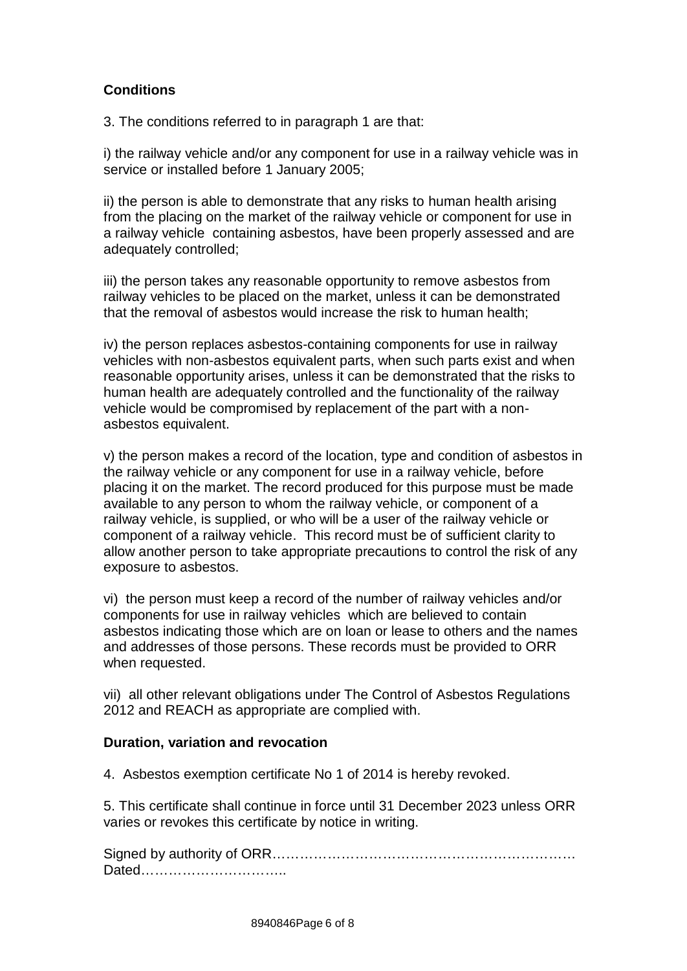# **Conditions**

3. The conditions referred to in paragraph 1 are that:

i) the railway vehicle and/or any component for use in a railway vehicle was in service or installed before 1 January 2005;

ii) the person is able to demonstrate that any risks to human health arising from the placing on the market of the railway vehicle or component for use in a railway vehicle containing asbestos, have been properly assessed and are adequately controlled;

iii) the person takes any reasonable opportunity to remove asbestos from railway vehicles to be placed on the market, unless it can be demonstrated that the removal of asbestos would increase the risk to human health;

iv) the person replaces asbestos-containing components for use in railway vehicles with non-asbestos equivalent parts, when such parts exist and when reasonable opportunity arises, unless it can be demonstrated that the risks to human health are adequately controlled and the functionality of the railway vehicle would be compromised by replacement of the part with a nonasbestos equivalent.

v) the person makes a record of the location, type and condition of asbestos in the railway vehicle or any component for use in a railway vehicle, before placing it on the market. The record produced for this purpose must be made available to any person to whom the railway vehicle, or component of a railway vehicle, is supplied, or who will be a user of the railway vehicle or component of a railway vehicle. This record must be of sufficient clarity to allow another person to take appropriate precautions to control the risk of any exposure to asbestos.

vi) the person must keep a record of the number of railway vehicles and/or components for use in railway vehicles which are believed to contain asbestos indicating those which are on loan or lease to others and the names and addresses of those persons. These records must be provided to ORR when requested.

vii) all other relevant obligations under The Control of Asbestos Regulations 2012 and REACH as appropriate are complied with.

## **Duration, variation and revocation**

4. Asbestos exemption certificate No 1 of 2014 is hereby revoked.

5. This certificate shall continue in force until 31 December 2023 unless ORR varies or revokes this certificate by notice in writing.

Signed by authority of ORR………………………………………………………… Dated…………………………..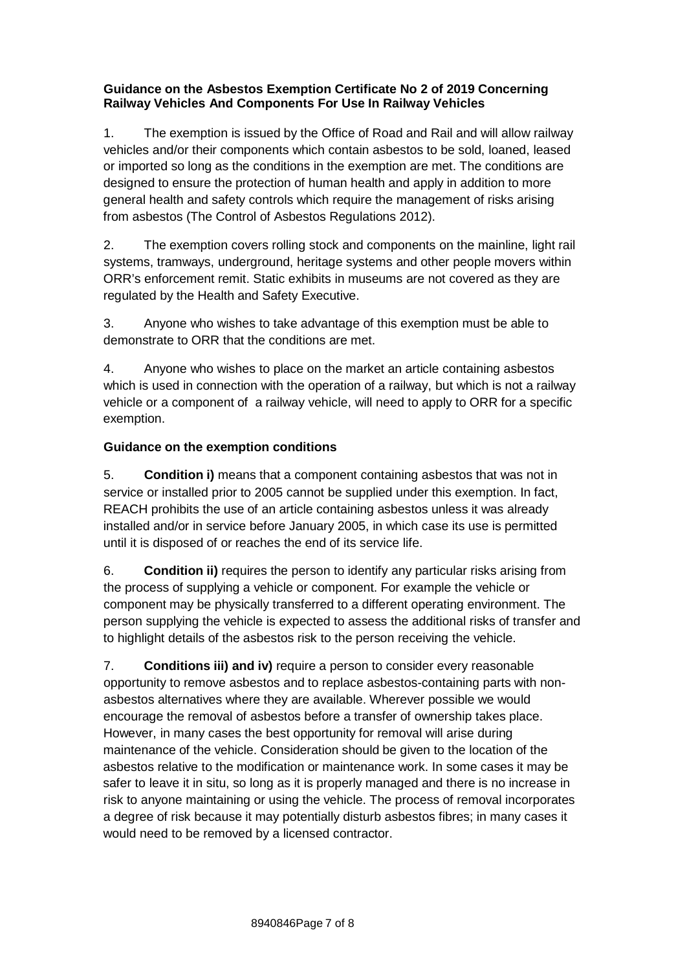#### **Guidance on the Asbestos Exemption Certificate No 2 of 2019 Concerning Railway Vehicles And Components For Use In Railway Vehicles**

1. The exemption is issued by the Office of Road and Rail and will allow railway vehicles and/or their components which contain asbestos to be sold, loaned, leased or imported so long as the conditions in the exemption are met. The conditions are designed to ensure the protection of human health and apply in addition to more general health and safety controls which require the management of risks arising from asbestos (The Control of Asbestos Regulations 2012).

2. The exemption covers rolling stock and components on the mainline, light rail systems, tramways, underground, heritage systems and other people movers within ORR's enforcement remit. Static exhibits in museums are not covered as they are regulated by the Health and Safety Executive.

3. Anyone who wishes to take advantage of this exemption must be able to demonstrate to ORR that the conditions are met.

4. Anyone who wishes to place on the market an article containing asbestos which is used in connection with the operation of a railway, but which is not a railway vehicle or a component of a railway vehicle, will need to apply to ORR for a specific exemption.

## **Guidance on the exemption conditions**

5. **Condition i)** means that a component containing asbestos that was not in service or installed prior to 2005 cannot be supplied under this exemption. In fact, REACH prohibits the use of an article containing asbestos unless it was already installed and/or in service before January 2005, in which case its use is permitted until it is disposed of or reaches the end of its service life.

6. **Condition ii)** requires the person to identify any particular risks arising from the process of supplying a vehicle or component. For example the vehicle or component may be physically transferred to a different operating environment. The person supplying the vehicle is expected to assess the additional risks of transfer and to highlight details of the asbestos risk to the person receiving the vehicle.

7. **Conditions iii) and iv)** require a person to consider every reasonable opportunity to remove asbestos and to replace asbestos-containing parts with nonasbestos alternatives where they are available. Wherever possible we would encourage the removal of asbestos before a transfer of ownership takes place. However, in many cases the best opportunity for removal will arise during maintenance of the vehicle. Consideration should be given to the location of the asbestos relative to the modification or maintenance work. In some cases it may be safer to leave it in situ, so long as it is properly managed and there is no increase in risk to anyone maintaining or using the vehicle. The process of removal incorporates a degree of risk because it may potentially disturb asbestos fibres; in many cases it would need to be removed by a licensed contractor.